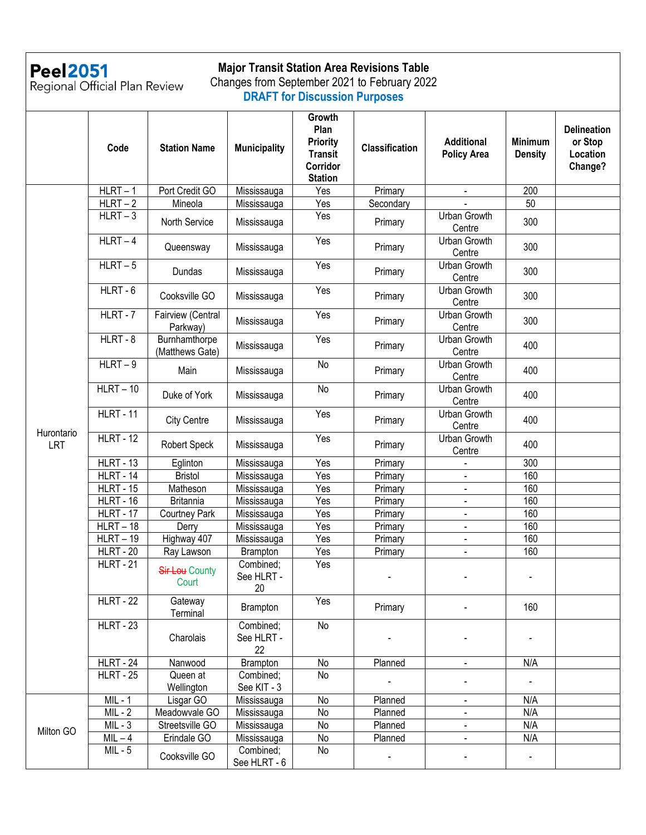# Peel2051<br>Regional Official Plan Review

#### **Major Transit Station Area Revisions Table** Changes from September 2021 to February 2022

**DRAFT for Discussion Purposes**

|                   | Code                    | <b>Station Name</b>              | <b>Municipality</b>           | Growth<br>Plan<br>Priority<br><b>Transit</b><br>Corridor<br><b>Station</b> | <b>Classification</b> | <b>Additional</b><br><b>Policy Area</b> | <b>Minimum</b><br><b>Density</b> | <b>Delineation</b><br>or Stop<br>Location<br>Change? |
|-------------------|-------------------------|----------------------------------|-------------------------------|----------------------------------------------------------------------------|-----------------------|-----------------------------------------|----------------------------------|------------------------------------------------------|
|                   | $HLRT - 1$              | Port Credit GO                   | Mississauga                   | Yes                                                                        | Primary               | $\blacksquare$                          | 200                              |                                                      |
|                   | $HLRT - 2$              | Mineola                          | Mississauga                   | Yes                                                                        | Secondary             |                                         | 50                               |                                                      |
|                   | $HLRT - 3$              | North Service                    | Mississauga                   | Yes                                                                        | Primary               | Urban Growth<br>Centre                  | 300                              |                                                      |
|                   | $HLRT - 4$              | Queensway                        | Mississauga                   | Yes                                                                        | Primary               | Urban Growth<br>Centre                  | 300                              |                                                      |
|                   | $HLRT - 5$              | Dundas                           | Mississauga                   | Yes                                                                        | Primary               | Urban Growth<br>Centre                  | 300                              |                                                      |
|                   | $HLRT - 6$              | Cooksville GO                    | Mississauga                   | Yes                                                                        | Primary               | Urban Growth<br>Centre                  | 300                              |                                                      |
|                   | $HLRT - 7$              | Fairview (Central<br>Parkway)    | Mississauga                   | Yes                                                                        | Primary               | Urban Growth<br>Centre                  | 300                              |                                                      |
|                   | HLRT-8                  | Burnhamthorpe<br>(Matthews Gate) | Mississauga                   | Yes                                                                        | Primary               | Urban Growth<br>Centre                  | 400                              |                                                      |
|                   | $HLRT - 9$              | Main                             | Mississauga                   | No                                                                         | Primary               | Urban Growth<br>Centre                  | 400                              |                                                      |
| Hurontario<br>LRT | $HLRT - 10$             | Duke of York                     | Mississauga                   | <b>No</b>                                                                  | Primary               | Urban Growth<br>Centre                  | 400                              |                                                      |
|                   | <b>HLRT - 11</b>        | <b>City Centre</b>               | Mississauga                   | Yes                                                                        | Primary               | Urban Growth<br>Centre                  | 400                              |                                                      |
|                   | <b>HLRT - 12</b>        | Robert Speck                     | Mississauga                   | Yes                                                                        | Primary               | Urban Growth<br>Centre                  | 400                              |                                                      |
|                   | $HLRT - 13$             | Eglinton                         | Mississauga                   | Yes                                                                        | Primary               |                                         | 300                              |                                                      |
|                   | $HLRT - 14$             | <b>Bristol</b>                   | Mississauga                   | $\overline{Yes}$                                                           | Primary               | ÷,                                      | 160                              |                                                      |
|                   | <b>HLRT - 15</b>        | Matheson                         | Mississauga                   | Yes                                                                        | Primary               | $\blacksquare$                          | 160                              |                                                      |
|                   | <b>HLRT - 16</b>        | <b>Britannia</b>                 | Mississauga                   | Yes                                                                        | Primary               | ÷,                                      | 160                              |                                                      |
|                   | <b>HLRT - 17</b>        | <b>Courtney Park</b>             | Mississauga                   | Yes                                                                        | Primary               | $\blacksquare$                          | 160                              |                                                      |
|                   | $HLRT - 18$             | Derry                            | Mississauga                   | Yes                                                                        | Primary               | ÷,                                      | 160                              |                                                      |
|                   | $HLRT - 19$             | Highway 407                      | Mississauga                   | Yes                                                                        | Primary               | $\blacksquare$                          | 160                              |                                                      |
|                   | $\overline{H}$ LRT - 20 | Ray Lawson                       | Brampton                      | Yes                                                                        | Primary               | $\blacksquare$                          | 160                              |                                                      |
|                   | <b>HLRT - 21</b>        | Sir Lou County<br>Court          | Combined;<br>See HLRT -<br>20 | Yes                                                                        |                       |                                         |                                  |                                                      |
|                   | <b>HLRT - 22</b>        | Gateway<br>Terminal              | Brampton                      | Yes                                                                        | Primary               |                                         | 160                              |                                                      |
|                   | <b>HLRT - 23</b>        | Charolais                        | Combined;<br>See HLRT -<br>22 | No                                                                         |                       |                                         |                                  |                                                      |
|                   | <b>HLRT - 24</b>        | Nanwood                          | Brampton                      | No                                                                         | Planned               |                                         | N/A                              |                                                      |
|                   | <b>HLRT - 25</b>        | Queen at<br>Wellington           | Combined;<br>See KIT - 3      | No                                                                         |                       |                                         |                                  |                                                      |
|                   | $MIL - 1$               | Lisgar GO                        | Mississauga                   | No                                                                         | Planned               | $\blacksquare$                          | N/A                              |                                                      |
|                   | $MIL - 2$               | Meadowvale GO                    | Mississauga                   | No                                                                         | Planned               |                                         | N/A                              |                                                      |
|                   | $MIL - 3$               | Streetsville GO                  | Mississauga                   | No                                                                         | Planned               | $\blacksquare$                          | N/A                              |                                                      |
| Milton GO         | $MIL - 4$               | Erindale GO                      | Mississauga                   | $\operatorname{\mathsf{No}}$                                               | Planned               | $\blacksquare$                          | N/A                              |                                                      |
|                   | $MIL - 5$               | Cooksville GO                    | Combined;<br>See HLRT - 6     | No                                                                         |                       |                                         | $\blacksquare$                   |                                                      |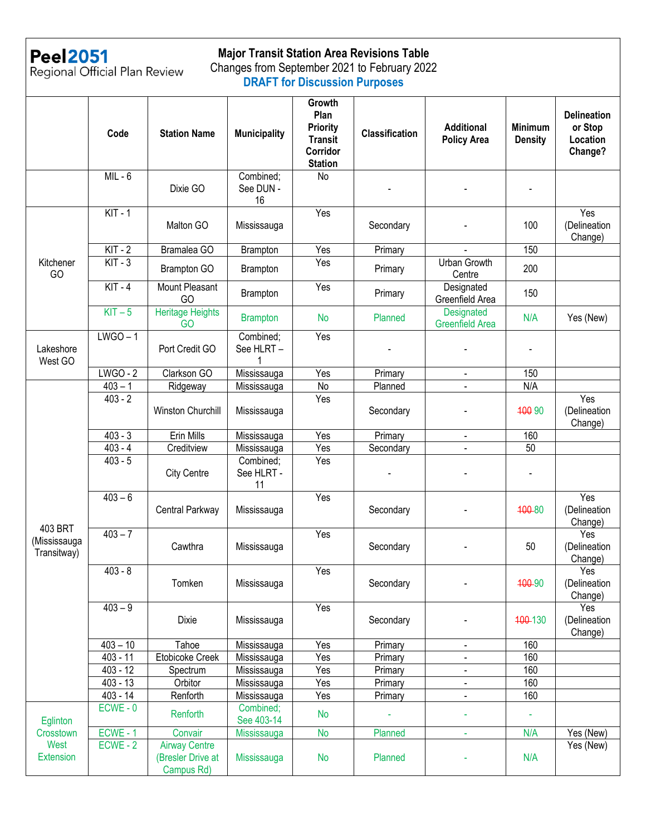

## **Major Transit Station Area Revisions Table**

Peel2051<br>Regional Official Plan Review

#### Changes from September 2021 to February 2022 **DRAFT for Discussion Purposes**

|                                                   | Code       | <b>Station Name</b>                                     | <b>Municipality</b>           | Growth<br>Plan<br><b>Priority</b><br><b>Transit</b><br>Corridor<br><b>Station</b> | <b>Classification</b> | <b>Additional</b><br><b>Policy Area</b> | <b>Minimum</b><br><b>Density</b> | <b>Delineation</b><br>or Stop<br>Location<br>Change? |
|---------------------------------------------------|------------|---------------------------------------------------------|-------------------------------|-----------------------------------------------------------------------------------|-----------------------|-----------------------------------------|----------------------------------|------------------------------------------------------|
|                                                   | $MIL - 6$  | Dixie GO                                                | Combined;<br>See DUN -<br>16  | N <sub>o</sub>                                                                    |                       |                                         | $\blacksquare$                   |                                                      |
|                                                   | $KIT - 1$  | Malton GO                                               | Mississauga                   | Yes                                                                               | Secondary             |                                         | 100                              | Yes<br>(Delineation<br>Change)                       |
|                                                   | $KIT - 2$  | Bramalea GO                                             | Brampton                      | Yes                                                                               | Primary               |                                         | 150                              |                                                      |
| Kitchener<br>GO                                   | $KIT - 3$  | Brampton GO                                             | Brampton                      | Yes                                                                               | Primary               | <b>Urban Growth</b><br>Centre           | 200                              |                                                      |
|                                                   | $KIT - 4$  | Mount Pleasant<br>GO                                    | Brampton                      | Yes                                                                               | Primary               | Designated<br>Greenfield Area           | 150                              |                                                      |
|                                                   | $KIT - 5$  | Heritage Heights<br>GO                                  | <b>Brampton</b>               | <b>No</b>                                                                         | Planned               | Designated<br><b>Greenfield Area</b>    | N/A                              | Yes (New)                                            |
| Lakeshore<br>West GO                              | $LWGO - 1$ | Port Credit GO                                          | Combined:<br>See HLRT -       | Yes                                                                               |                       |                                         | $\overline{\phantom{a}}$         |                                                      |
|                                                   | $LWGO - 2$ | Clarkson GO                                             | Mississauga                   | Yes                                                                               | Primary               | $\blacksquare$                          | 150                              |                                                      |
|                                                   | $403 - 1$  | Ridgeway                                                | Mississauga                   | No                                                                                | Planned               | $\blacksquare$                          | N/A                              |                                                      |
|                                                   | $403 - 2$  | Winston Churchill                                       | Mississauga                   | Yes                                                                               | Secondary             |                                         | 400 90                           | Yes<br>(Delineation<br>Change)                       |
|                                                   | $403 - 3$  | <b>Erin Mills</b>                                       | Mississauga                   | Yes                                                                               | Primary               |                                         | 160                              |                                                      |
|                                                   | $403 - 4$  | Creditview                                              | Mississauga                   | Yes                                                                               | Secondary             |                                         | 50                               |                                                      |
| 403 BRT<br>(Mississauga<br>Transitway)            | $403 - 5$  | <b>City Centre</b>                                      | Combined;<br>See HLRT -<br>11 | Yes                                                                               |                       |                                         | $\blacksquare$                   |                                                      |
|                                                   | $403 - 6$  | Central Parkway                                         | Mississauga                   | Yes                                                                               | Secondary             |                                         | 400-80                           | Yes<br>(Delineation<br>Change)                       |
|                                                   | $403 - 7$  | Cawthra                                                 | Mississauga                   | Yes                                                                               | Secondary             |                                         | 50                               | Yes<br>(Delineation<br>Change)                       |
|                                                   | $403 - 8$  | Tomken                                                  | Mississauga                   | Yes                                                                               | Secondary             |                                         | 400-90                           | Yes<br>(Delineation<br>Change)                       |
|                                                   | $403 - 9$  | Dixie                                                   | Mississauga                   | Yes                                                                               | Secondary             |                                         | 400-130                          | Yes<br>(Delineation<br>Change)                       |
|                                                   | $403 - 10$ | Tahoe                                                   | Mississauga                   | Yes                                                                               | Primary               | $\overline{\phantom{a}}$                | 160                              |                                                      |
|                                                   | $403 - 11$ | Etobicoke Creek                                         | Mississauga                   | Yes                                                                               | Primary               | $\blacksquare$                          | 160                              |                                                      |
|                                                   | $403 - 12$ | Spectrum                                                | Mississauga                   | Yes                                                                               | Primary               | $\blacksquare$                          | 160                              |                                                      |
|                                                   | $403 - 13$ | Orbitor                                                 | Mississauga                   | Yes                                                                               | Primary               | $\blacksquare$                          | 160                              |                                                      |
|                                                   | $403 - 14$ | Renforth                                                | Mississauga                   | Yes                                                                               | Primary               | $\blacksquare$                          | 160                              |                                                      |
| Eglinton<br>Crosstown<br>West<br><b>Extension</b> | $ECWE - 0$ | Renforth                                                | Combined;<br>See 403-14       | <b>No</b>                                                                         |                       |                                         |                                  |                                                      |
|                                                   | ECWE-1     | Convair                                                 | Mississauga                   | No                                                                                | Planned               | ÷                                       | N/A                              | Yes (New)                                            |
|                                                   | $ECWE - 2$ | <b>Airway Centre</b><br>(Bresler Drive at<br>Campus Rd) | Mississauga                   | <b>No</b>                                                                         | Planned               |                                         | N/A                              | Yes (New)                                            |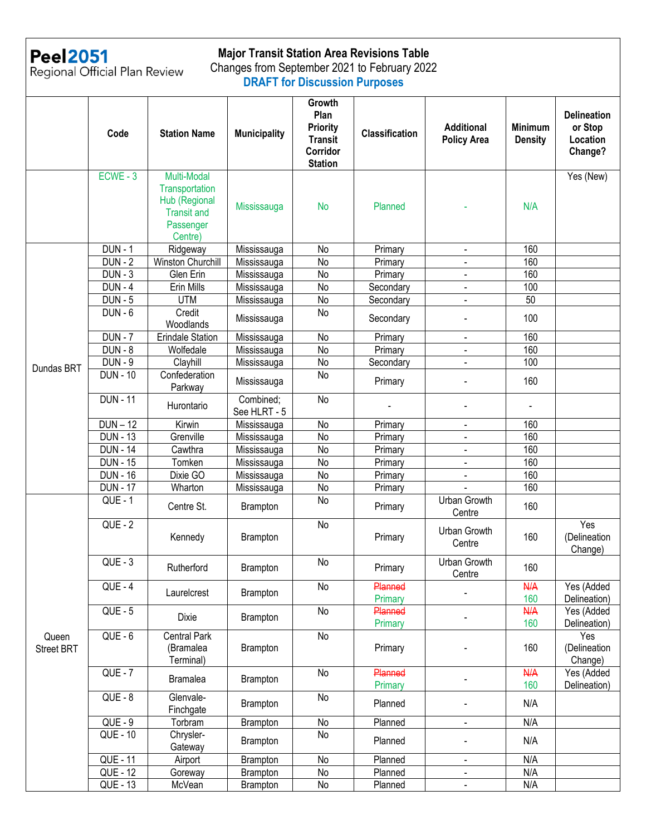

### **Major Transit Station Area Revisions Table**

Peel2051<br>Regional Official Plan Review

#### Changes from September 2021 to February 2022 **DRAFT for Discussion Purposes**

|                     | Code                 | <b>Station Name</b>                                                                          | <b>Municipality</b>       | Growth<br>Plan<br>Priority<br><b>Transit</b><br>Corridor<br><b>Station</b> | <b>Classification</b> | <b>Additional</b><br><b>Policy Area</b> | <b>Minimum</b><br><b>Density</b> | <b>Delineation</b><br>or Stop<br>Location<br>Change? |
|---------------------|----------------------|----------------------------------------------------------------------------------------------|---------------------------|----------------------------------------------------------------------------|-----------------------|-----------------------------------------|----------------------------------|------------------------------------------------------|
|                     | $ECWE - 3$           | Multi-Modal<br>Transportation<br>Hub (Regional<br><b>Transit and</b><br>Passenger<br>Centre) | Mississauga               | <b>No</b>                                                                  | Planned               |                                         | N/A                              | Yes (New)                                            |
|                     | <b>DUN - 1</b>       | Ridgeway                                                                                     | Mississauga               | No                                                                         | Primary               | $\blacksquare$                          | 160                              |                                                      |
|                     | <b>DUN - 2</b>       | Winston Churchill                                                                            | Mississauga               | No                                                                         | Primary               |                                         | 160                              |                                                      |
|                     | $\overline{DUN} - 3$ | Glen Erin                                                                                    | Mississauga               | No                                                                         | Primary               |                                         | 160                              |                                                      |
|                     | $DUN - 4$            | Erin Mills                                                                                   | Mississauga               | No                                                                         | Secondary             |                                         | 100                              |                                                      |
|                     | $DUN - 5$            | <b>UTM</b>                                                                                   | Mississauga               | No                                                                         | Secondary             |                                         | 50                               |                                                      |
|                     | $DUN - 6$            | Credit<br>Woodlands                                                                          | Mississauga               | No                                                                         | Secondary             |                                         | 100                              |                                                      |
|                     | $DUN - 7$            | <b>Erindale Station</b>                                                                      | Mississauga               | No                                                                         | Primary               | $\blacksquare$                          | 160                              |                                                      |
|                     | $DUN - 8$            | Wolfedale                                                                                    | Mississauga               | No                                                                         | Primary               |                                         | 160                              |                                                      |
|                     | $DUN - 9$            | Clayhill                                                                                     | Mississauga               | No                                                                         | Secondary             |                                         | 100                              |                                                      |
| Dundas BRT          | <b>DUN - 10</b>      | Confederation<br>Parkway                                                                     | Mississauga               | No                                                                         | Primary               |                                         | 160                              |                                                      |
|                     | <b>DUN - 11</b>      | Hurontario                                                                                   | Combined;<br>See HLRT - 5 | <b>No</b>                                                                  |                       |                                         |                                  |                                                      |
|                     | $DUN - 12$           | Kirwin                                                                                       | Mississauga               | No                                                                         | Primary               | $\blacksquare$                          | 160                              |                                                      |
|                     | <b>DUN - 13</b>      | Grenville                                                                                    | Mississauga               | No                                                                         | Primary               | $\overline{\phantom{a}}$                | 160                              |                                                      |
|                     | <b>DUN - 14</b>      | Cawthra                                                                                      | Mississauga               | No                                                                         | Primary               | $\blacksquare$                          | 160                              |                                                      |
|                     | <b>DUN - 15</b>      | Tomken                                                                                       | Mississauga               | No                                                                         | Primary               | $\blacksquare$                          | 160                              |                                                      |
|                     | <b>DUN - 16</b>      | Dixie GO                                                                                     | Mississauga               | No                                                                         | Primary               | $\blacksquare$                          | 160                              |                                                      |
|                     | <b>DUN - 17</b>      | Wharton                                                                                      | Mississauga               | No                                                                         | Primary               |                                         | 160                              |                                                      |
|                     | <b>QUE - 1</b>       | Centre St.                                                                                   | Brampton                  | No                                                                         | Primary               | Urban Growth<br>Centre                  | 160                              |                                                      |
| Queen<br>Street BRT | <b>QUE - 2</b>       | Kennedy                                                                                      | Brampton                  | No                                                                         | Primary               | Urban Growth<br>Centre                  | 160                              | Yes<br>(Delineation<br>Change)                       |
|                     | $QUE - 3$            | Rutherford                                                                                   | Brampton                  | No                                                                         | Primary               | Urban Growth<br>Centre                  | 160                              |                                                      |
|                     | $QUE - 4$            | Laurelcrest                                                                                  | Brampton                  | No                                                                         | Planned<br>Primary    |                                         | <b>N/A</b><br>160                | Yes (Added<br>Delineation)                           |
|                     | $QUE - 5$            | Dixie                                                                                        | Brampton                  | No                                                                         | Planned<br>Primary    |                                         | <b>N/A</b><br>160                | Yes (Added<br>Delineation)                           |
|                     | $QUE - 6$            | Central Park<br>(Bramalea<br>Terminal)                                                       | Brampton                  | No                                                                         | Primary               |                                         | 160                              | Yes<br>(Delineation<br>Change)                       |
|                     | $QUE - 7$            | <b>Bramalea</b>                                                                              | Brampton                  | No                                                                         | Planned<br>Primary    |                                         | <b>N/A</b><br>160                | Yes (Added<br>Delineation)                           |
|                     | <b>QUE - 8</b>       | Glenvale-<br>Finchgate                                                                       | Brampton                  | No                                                                         | Planned               |                                         | N/A                              |                                                      |
|                     | $QUE - 9$            | Torbram                                                                                      | Brampton                  | No                                                                         | Planned               | $\blacksquare$                          | N/A                              |                                                      |
|                     | QUE - 10             | Chrysler-<br>Gateway                                                                         | Brampton                  | No                                                                         | Planned               |                                         | N/A                              |                                                      |
|                     | <b>QUE - 11</b>      | Airport                                                                                      | Brampton                  | No                                                                         | Planned               | $\blacksquare$                          | N/A                              |                                                      |
|                     | QUE - 12             | Goreway                                                                                      | Brampton                  | No                                                                         | Planned               | $\blacksquare$                          | N/A                              |                                                      |
|                     | <b>QUE - 13</b>      | McVean                                                                                       | Brampton                  | No                                                                         | Planned               | $\blacksquare$                          | N/A                              |                                                      |